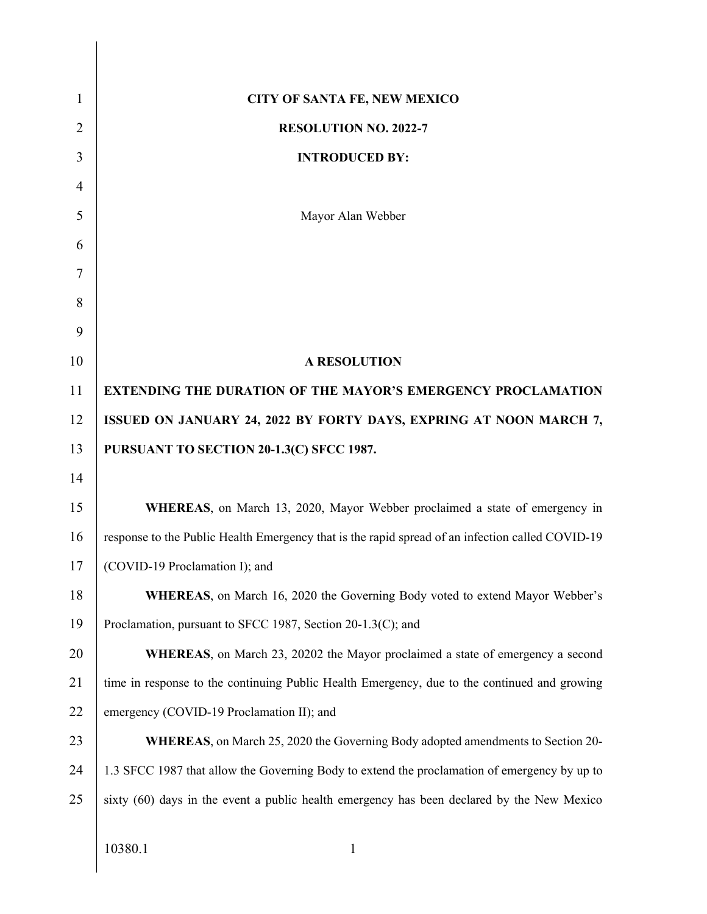| $\mathbf{1}$   | <b>CITY OF SANTA FE, NEW MEXICO</b>                                                              |
|----------------|--------------------------------------------------------------------------------------------------|
| $\overline{2}$ | <b>RESOLUTION NO. 2022-7</b>                                                                     |
| 3              | <b>INTRODUCED BY:</b>                                                                            |
| $\overline{4}$ |                                                                                                  |
| 5              | Mayor Alan Webber                                                                                |
| 6              |                                                                                                  |
| 7              |                                                                                                  |
| 8              |                                                                                                  |
| 9              |                                                                                                  |
| 10             | <b>A RESOLUTION</b>                                                                              |
| 11             | <b>EXTENDING THE DURATION OF THE MAYOR'S EMERGENCY PROCLAMATION</b>                              |
| 12             | ISSUED ON JANUARY 24, 2022 BY FORTY DAYS, EXPRING AT NOON MARCH 7,                               |
| 13             | PURSUANT TO SECTION 20-1.3(C) SFCC 1987.                                                         |
| 14             |                                                                                                  |
| 15             | WHEREAS, on March 13, 2020, Mayor Webber proclaimed a state of emergency in                      |
| 16             | response to the Public Health Emergency that is the rapid spread of an infection called COVID-19 |
| 17             | (COVID-19 Proclamation I); and                                                                   |
| 18             | <b>WHEREAS</b> , on March 16, 2020 the Governing Body voted to extend Mayor Webber's             |
| 19             | Proclamation, pursuant to SFCC 1987, Section 20-1.3(C); and                                      |
| 20             | <b>WHEREAS</b> , on March 23, 20202 the Mayor proclaimed a state of emergency a second           |
| 21             | time in response to the continuing Public Health Emergency, due to the continued and growing     |
| 22             | emergency (COVID-19 Proclamation II); and                                                        |
| 23             | <b>WHEREAS</b> , on March 25, 2020 the Governing Body adopted amendments to Section 20-          |
| 24             | 1.3 SFCC 1987 that allow the Governing Body to extend the proclamation of emergency by up to     |
| 25             | sixty (60) days in the event a public health emergency has been declared by the New Mexico       |
|                |                                                                                                  |
|                | 10380.1<br>$\mathbf{1}$                                                                          |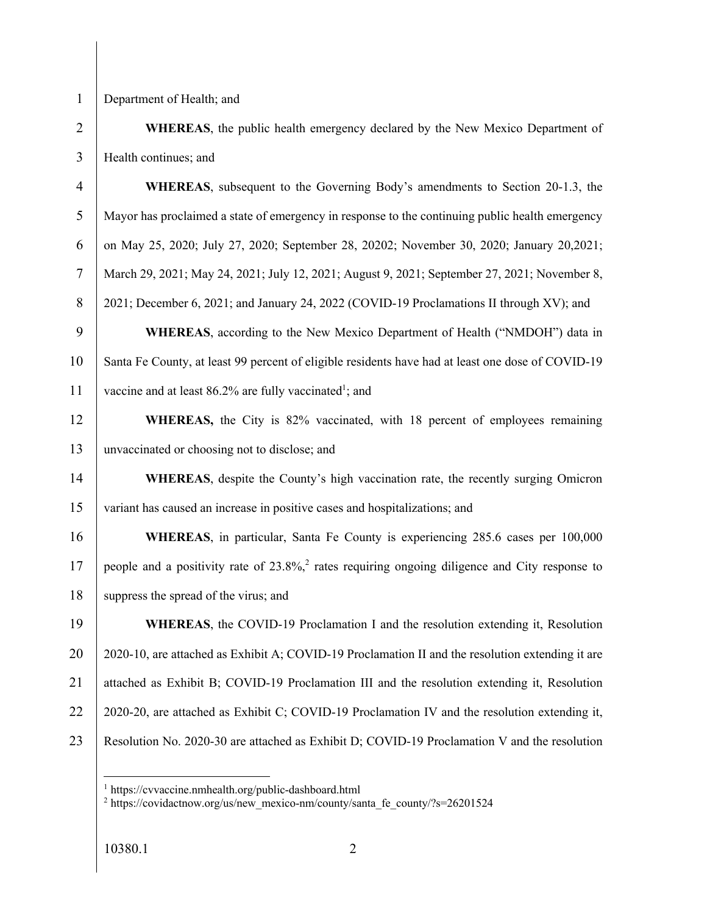Department of Health; and

 **WHEREAS**, the public health emergency declared by the New Mexico Department of Health continues; and

 **WHEREAS**, subsequent to the Governing Body's amendments to Section 20-1.3, the Mayor has proclaimed a state of emergency in response to the continuing public health emergency 6 on May 25, 2020; July 27, 2020; September 28, 20202; November 30, 2020; January 20, 2021; March 29, 2021; May 24, 2021; July 12, 2021; August 9, 2021; September 27, 2021; November 8, 8 2021; December 6, 2021; and January 24, 2022 (COVID-19 Proclamations II through XV); and **WHEREAS**, according to the New Mexico Department of Health ("NMDOH") data in 10 Santa Fe County, at least 99 percent of eligible residents have had at least one dose of COVID-19 11 vaccine and at least 86.2% are fully vaccinated<sup>1</sup>; and

**WHEREAS**, the City is 82% vaccinated, with 18 percent of employees remaining unvaccinated or choosing not to disclose; and

**WHEREAS**, despite the County's high vaccination rate, the recently surging Omicron variant has caused an increase in positive cases and hospitalizations; and

 **WHEREAS**, in particular, Santa Fe County is experiencing 285.6 cases per 100,000 17 people and a positivity rate of  $23.8\%$ , rates requiring ongoing diligence and City response to 18 suppress the spread of the virus; and

 **WHEREAS**, the COVID-19 Proclamation I and the resolution extending it, Resolution 20 | 2020-10, are attached as Exhibit A; COVID-19 Proclamation II and the resolution extending it are 21 attached as Exhibit B; COVID-19 Proclamation III and the resolution extending it, Resolution 22  $\mid$  2020-20, are attached as Exhibit C; COVID-19 Proclamation IV and the resolution extending it, Resolution No. 2020-30 are attached as Exhibit D; COVID-19 Proclamation V and the resolution

https://cvvaccine.nmhealth.org/public-dashboard.html

https://covidactnow.org/us/new\_mexico-nm/county/santa\_fe\_county/?s=26201524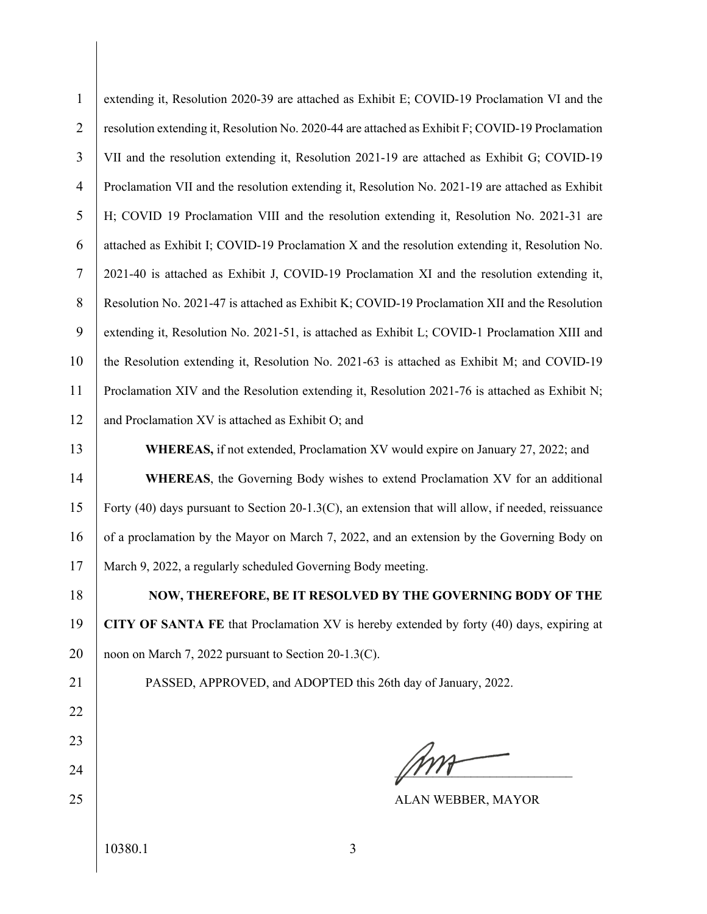| $\mathbf{1}$   | extending it, Resolution 2020-39 are attached as Exhibit E; COVID-19 Proclamation VI and the       |
|----------------|----------------------------------------------------------------------------------------------------|
| $\overline{2}$ | resolution extending it, Resolution No. 2020-44 are attached as Exhibit F; COVID-19 Proclamation   |
| 3              | VII and the resolution extending it, Resolution 2021-19 are attached as Exhibit G; COVID-19        |
| $\overline{4}$ | Proclamation VII and the resolution extending it, Resolution No. 2021-19 are attached as Exhibit   |
| 5              | H; COVID 19 Proclamation VIII and the resolution extending it, Resolution No. 2021-31 are          |
| 6              | attached as Exhibit I; COVID-19 Proclamation X and the resolution extending it, Resolution No.     |
| $\tau$         | 2021-40 is attached as Exhibit J, COVID-19 Proclamation XI and the resolution extending it,        |
| $8\,$          | Resolution No. 2021-47 is attached as Exhibit K; COVID-19 Proclamation XII and the Resolution      |
| 9              | extending it, Resolution No. 2021-51, is attached as Exhibit L; COVID-1 Proclamation XIII and      |
| 10             | the Resolution extending it, Resolution No. 2021-63 is attached as Exhibit M; and COVID-19         |
| 11             | Proclamation XIV and the Resolution extending it, Resolution 2021-76 is attached as Exhibit N;     |
| 12             | and Proclamation XV is attached as Exhibit O; and                                                  |
| 13             | WHEREAS, if not extended, Proclamation XV would expire on January 27, 2022; and                    |
| 14             | WHEREAS, the Governing Body wishes to extend Proclamation XV for an additional                     |
| 15             | Forty (40) days pursuant to Section 20-1.3(C), an extension that will allow, if needed, reissuance |
| 16             | of a proclamation by the Mayor on March 7, 2022, and an extension by the Governing Body on         |
| 17             | March 9, 2022, a regularly scheduled Governing Body meeting.                                       |
| 18             | <b>NOW, THEREFORE, BE IT RESOLVED BY THE GOVERNING BODY OF THE</b>                                 |
| 19             | CITY OF SANTA FE that Proclamation XV is hereby extended by forty (40) days, expiring at           |
| 20             | noon on March 7, 2022 pursuant to Section 20-1.3(C).                                               |
| 21             | PASSED, APPROVED, and ADOPTED this 26th day of January, 2022.                                      |
| 22             |                                                                                                    |
| 23             |                                                                                                    |
| 24             |                                                                                                    |
| 25             | ALAN WEBBER, MAYOR                                                                                 |
|                | 10380.1<br>3                                                                                       |